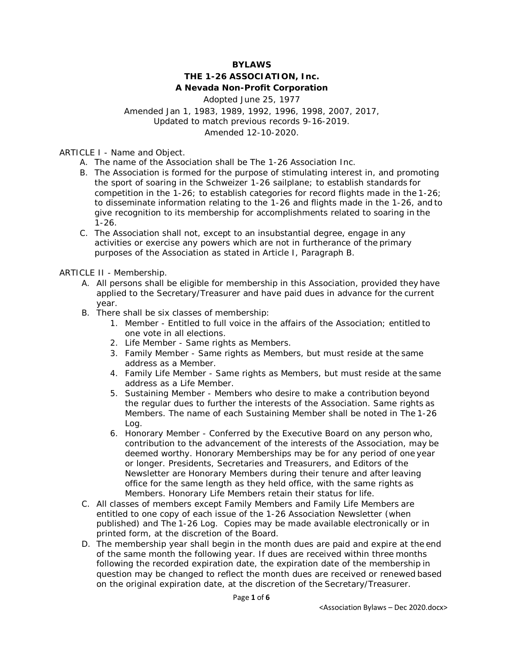### **BYLAWS**

## **THE 1-26 ASSOCIATION, Inc. A Nevada Non-Profit Corporation**

Adopted June 25, 1977 Amended Jan 1, 1983, 1989, 1992, 1996, 1998, 2007, 2017, Updated to match previous records 9-16-2019. Amended 12-10-2020.

ARTICLE I - Name and Object.

- A. The name of the Association shall be The 1-26 Association Inc.
- B. The Association is formed for the purpose of stimulating interest in, and promoting the sport of soaring in the Schweizer 1-26 sailplane; to establish standards for competition in the 1-26; to establish categories for record flights made in the 1-26; to disseminate information relating to the 1-26 and flights made in the 1-26, and to give recognition to its membership for accomplishments related to soaring in the 1-26.
- C. The Association shall not, except to an insubstantial degree, engage in any activities or exercise any powers which are not in furtherance of the primary purposes of the Association as stated in Article I, Paragraph B.

ARTICLE II - Membership.

- A. All persons shall be eligible for membership in this Association, provided they have applied to the Secretary/Treasurer and have paid dues in advance for the current year.
- B. There shall be six classes of membership:
	- 1. Member Entitled to full voice in the affairs of the Association; entitled to one vote in all elections.
	- 2. Life Member Same rights as Members.
	- 3. Family Member Same rights as Members, but must reside at the same address as a Member.
	- 4. Family Life Member Same rights as Members, but must reside at the same address as a Life Member.
	- 5. Sustaining Member Members who desire to make a contribution beyond the regular dues to further the interests of the Association. Same rights as Members. The name of each Sustaining Member shall be noted in *The 1-26 Log*.
	- 6. Honorary Member Conferred by the Executive Board on any person who, contribution to the advancement of the interests of the Association, may be deemed worthy. Honorary Memberships may be for any period of one year or longer. Presidents, Secretaries and Treasurers, and Editors of the Newsletter are Honorary Members during their tenure and after leaving office for the same length as they held office, with the same rights as Members. Honorary Life Members retain their status for life.
- C. All classes of members except Family Members and Family Life Members are entitled to one copy of each issue of the *1-26 Association Newsletter (when published)* and *The 1-26 Log*. Copies may be made available electronically or in printed form, at the discretion of the Board.
- D. The membership year shall begin in the month dues are paid and expire at the end of the same month the following year. If dues are received within three months following the recorded expiration date, the expiration date of the membership in question may be changed to reflect the month dues are received or renewed based on the original expiration date, at the discretion of the Secretary/Treasurer.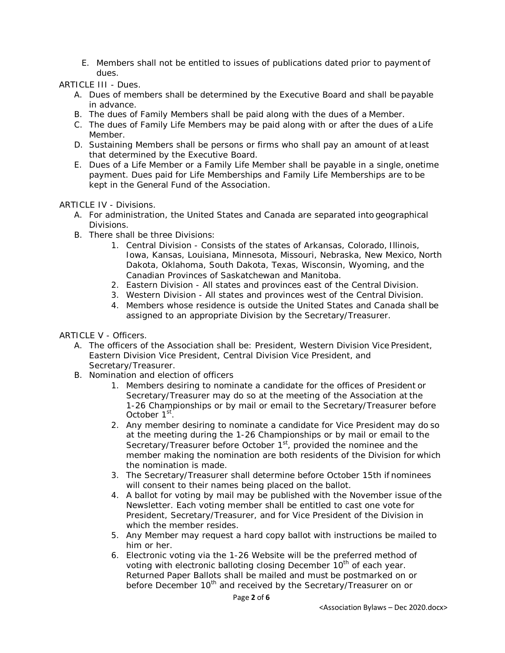E. Members shall not be entitled to issues of publications dated prior to payment of dues.

ARTICLE III - Dues.

- A. Dues of members shall be determined by the Executive Board and shall be payable in advance.
- B. The dues of Family Members shall be paid along with the dues of a Member.
- C. The dues of Family Life Members may be paid along with or after the dues of a Life Member.
- D. Sustaining Members shall be persons or firms who shall pay an amount of atleast that determined by the Executive Board.
- E. Dues of a Life Member or a Family Life Member shall be payable in a single, onetime payment. Dues paid for Life Memberships and Family Life Memberships are to be kept in the General Fund of the Association.

ARTICLE IV - Divisions.

- A. For administration, the United States and Canada are separated into geographical Divisions.
- B. There shall be three Divisions:
	- 1. Central Division Consists of the states of Arkansas, Colorado, Illinois, Iowa, Kansas, Louisiana, Minnesota, Missouri, Nebraska, New Mexico, North Dakota, Oklahoma, South Dakota, Texas, Wisconsin, Wyoming, and the Canadian Provinces of Saskatchewan and Manitoba.
	- 2. Eastern Division All states and provinces east of the Central Division.
	- 3. Western Division All states and provinces west of the Central Division.
	- 4. Members whose residence is outside the United States and Canada shall be assigned to an appropriate Division by the Secretary/Treasurer.

ARTICLE V - Officers.

- A. The officers of the Association shall be: President, Western Division Vice President, Eastern Division Vice President, Central Division Vice President, and Secretary/Treasurer.
- B. Nomination and election of officers
	- 1. Members desiring to nominate a candidate for the offices of President or Secretary/Treasurer may do so at the meeting of the Association at the 1-26 Championships or by mail or email to the Secretary/Treasurer before October 1<sup>st</sup>.
	- 2. Any member desiring to nominate a candidate for Vice President may do so at the meeting during the 1-26 Championships or by mail or email to the Secretary/Treasurer before October 1<sup>st</sup>, provided the nominee and the member making the nomination are both residents of the Division for which the nomination is made.
	- 3. The Secretary/Treasurer shall determine before October 15th if nominees will consent to their names being placed on the ballot.
	- 4. A ballot for voting by mail may be published with the November issue ofthe Newsletter. Each voting member shall be entitled to cast one vote for President, Secretary/Treasurer, and for Vice President of the Division in which the member resides.
	- 5. Any Member may request a hard copy ballot with instructions be mailed to him or her.
	- 6. Electronic voting *via the 1-26 Website* will be the preferred method of voting with electronic balloting closing December 10<sup>th</sup> of each year. *Returned* Paper Ballots shall be mailed and must be postmarked on or before December 10<sup>th</sup> and received by the Secretary/Treasurer on or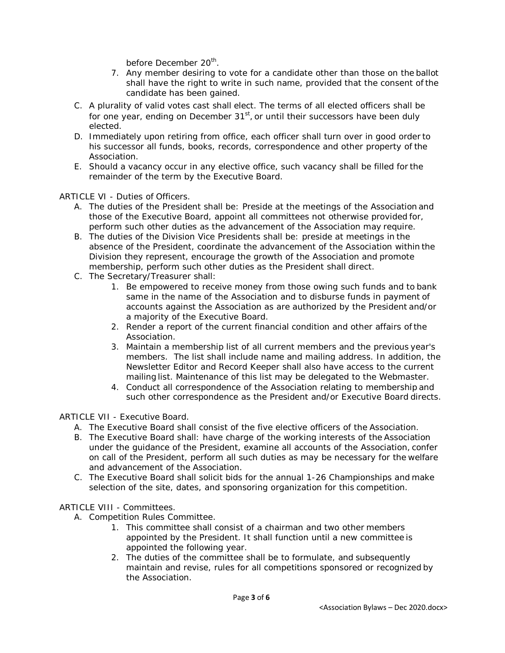before December 20<sup>th</sup>.

- 7. Any member desiring to vote for a candidate other than those on the ballot shall have the right to write in such name, provided that the consent of the candidate has been gained.
- C. A plurality of valid votes cast shall elect. The terms of all elected officers shall be for one year, ending on December  $31<sup>st</sup>$ , or until their successors have been duly elected.
- D. Immediately upon retiring from office, each officer shall turn over in good order to his successor all funds, books, records, correspondence and other property of the Association.
- E. Should a vacancy occur in any elective office, such vacancy shall be filled for the remainder of the term by the Executive Board.

ARTICLE VI - Duties of Officers.

- A. The duties of the President shall be: Preside at the meetings of the Association and those of the Executive Board, appoint all committees not otherwise provided for, perform such other duties as the advancement of the Association may require.
- B. The duties of the Division Vice Presidents shall be: preside at meetings in the absence of the President, coordinate the advancement of the Association within the Division they represent, encourage the growth of the Association and promote membership, perform such other duties as the President shall direct.
- C. The Secretary/Treasurer shall:
	- 1. Be empowered to receive money from those owing such funds and to bank same in the name of the Association and to disburse funds in payment of accounts against the Association as are authorized by the President and/or a majority of the Executive Board.
	- 2. Render a report of the current financial condition and other affairs ofthe Association.
	- 3. Maintain a membership list of all current members and the previous year's members. The list shall include name and mailing address. In addition, the Newsletter Editor and Record Keeper shall also have access to the current mailing list. Maintenance of this list may be delegated to the Webmaster.
	- 4. Conduct all correspondence of the Association relating to membership and such other correspondence as the President and/or Executive Board directs.

ARTICLE VII - Executive Board.

- A. The Executive Board shall consist of the five elective officers of the Association.
- B. The Executive Board shall: have charge of the working interests of the Association under the guidance of the President, examine all accounts of the Association, confer on call of the President, perform all such duties as may be necessary for the welfare and advancement of the Association.
- C. The Executive Board shall solicit bids for the annual 1-26 Championships and make selection of the site, dates, and sponsoring organization for this competition.

ARTICLE VIII - Committees.

- A. Competition Rules Committee.
	- 1. This committee shall consist of a chairman and two other members appointed by the President. It shall function until a new committee is appointed the following year.
	- 2. The duties of the committee shall be to formulate, and subsequently maintain and revise, rules for all competitions sponsored or recognized by the Association.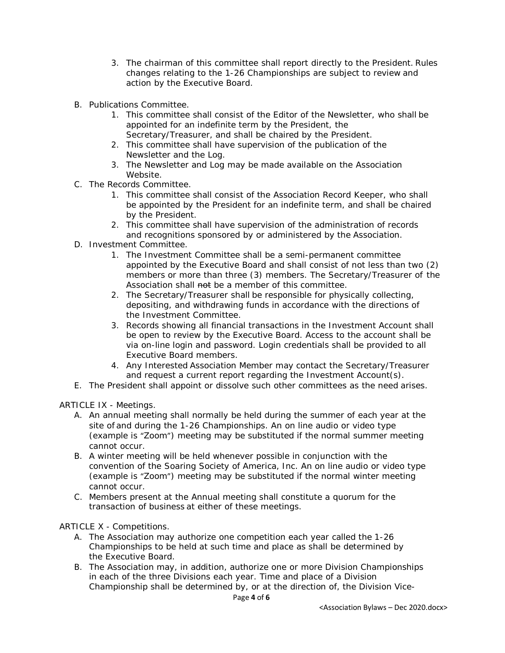- 3. The chairman of this committee shall report directly to the President. Rules changes relating to the 1-26 Championships are subject to review and action by the Executive Board.
- B. Publications Committee.
	- 1. This committee shall consist of the Editor of the Newsletter, who shall be appointed for an indefinite term by the President, the Secretary/Treasurer, and shall be chaired by the President.
	- 2. This committee shall have supervision of the publication of the Newsletter and the Log.
	- 3. The Newsletter and Log may be made available on the Association Website.
- C. The Records Committee.
	- 1. This committee shall consist of the Association Record Keeper, who shall be appointed by the President for an indefinite term, and shall be chaired by the President.
	- 2. This committee shall have supervision of the administration of records and recognitions sponsored by or administered by the Association.
- D. Investment Committee.
	- 1. The Investment Committee shall be a semi-permanent committee appointed by the Executive Board and shall consist of not less than two (2) members or more than three (3) members. The Secretary/Treasurer of the Association shall not be a member of this committee.
	- 2. The Secretary/Treasurer shall be responsible for physically collecting, depositing, and withdrawing funds in accordance with the directions of the Investment Committee.
	- 3. Records showing all financial transactions in the Investment Account shall be open to review by the Executive Board. Access to the account shall be via on-line login and password. Login credentials shall be provided to all Executive Board members.
	- 4. Any Interested Association Member may contact the Secretary/Treasurer and request a current report regarding the Investment Account(s).
- E. The President shall appoint or dissolve such other committees as the need arises.

ARTICLE IX - Meetings.

- A. An annual meeting shall normally be held during the summer of each year at the site of and during the 1-26 Championships. An on line audio or video type (example is "Zoom") meeting may be substituted if the normal summer meeting cannot occur.
- *B.* A winter meeting will be held whenever possible in conjunction with the convention of the Soaring Society of America, Inc. An on line audio or video type (example is "Zoom") meeting may be substituted if the normal winter meeting cannot occur.
- C. Members present at the Annual meeting shall constitute a quorum for the transaction of business at either of these meetings.

### ARTICLE X - Competitions.

- A. The Association may authorize one competition each year called the 1-26 Championships to be held at such time and place as shall be determined by the Executive Board.
- B. The Association may, in addition, authorize one or more Division Championships in each of the three Divisions each year. Time and place of a Division Championship shall be determined by, or at the direction of, the Division Vice-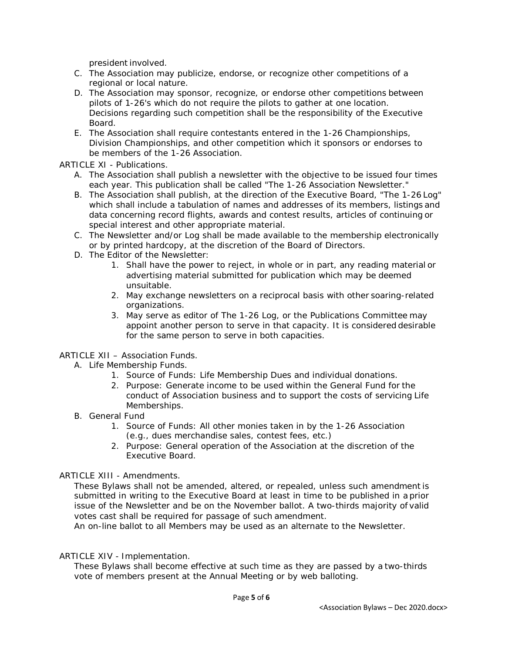president involved.

- C. The Association may publicize, endorse, or recognize other competitions of a regional or local nature.
- D. The Association may sponsor, recognize, or endorse other competitions between pilots of 1-26's which do not require the pilots to gather at one location. Decisions regarding such competition shall be the responsibility of the Executive Board.
- E. The Association shall require contestants entered in the 1-26 Championships, Division Championships, and other competition which it sponsors or endorses to be members of the 1-26 Association.

ARTICLE XI - Publications.

- A. The Association shall publish a newsletter with the objective to be issued four times each year. This publication shall be called "*The 1-26 Association Newsletter*."
- B. The Association shall publish, at the direction of the Executive Board, "*The 1-26 Log*" which shall include a tabulation of names and addresses of its members, listings and data concerning record flights, awards and contest results, articles of continuing or special interest and other appropriate material.
- C. The Newsletter and/or Log shall be made available to the membership electronically or by printed hardcopy, at the discretion of the Board of Directors.
- D. The Editor of the *Newsletter*:
	- 1. Shall have the power to reject, in whole or in part, any reading material or advertising material submitted for publication which may be deemed unsuitable.
	- 2. May exchange newsletters on a reciprocal basis with other soaring-related organizations.
	- 3. May serve as editor of *The 1-26 Log*, or the Publications Committee may appoint another person to serve in that capacity. It is considered desirable for the same person to serve in both capacities.

### ARTICLE XII – Association Funds.

- A. Life Membership Funds.
	- 1. Source of Funds: Life Membership Dues and individual donations.
	- 2. Purpose: Generate income to be used within the General Fund for the conduct of Association business and to support the costs of servicing Life Memberships.
- B. General Fund
	- 1. Source of Funds: All other monies taken in by the 1-26 Association (e.g., dues merchandise sales, contest fees, etc.)
	- 2. Purpose: General operation of the Association at the discretion of the Executive Board.

### ARTICLE XIII - Amendments.

These Bylaws shall not be amended, altered, or repealed, unless such amendment is submitted in writing to the Executive Board at least in time to be published in a prior issue of the Newsletter and be on the November ballot. A two-thirds majority of valid votes cast shall be required for passage of such amendment.

An on-line ballot to all Members may be used as an alternate to the Newsletter.

### ARTICLE XIV - Implementation.

These Bylaws shall become effective at such time as they are passed by a two-thirds vote of members present at the Annual Meeting or by web balloting.